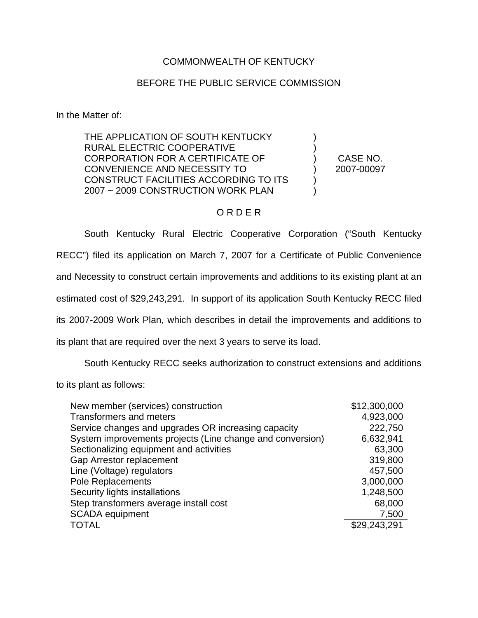## COMMONWEALTH OF KENTUCKY

## BEFORE THE PUBLIC SERVICE COMMISSION

In the Matter of:

THE APPLICATION OF SOUTH KENTUCKY RURAL ELECTRIC COOPERATIVE CORPORATION FOR A CERTIFICATE OF CONVENIENCE AND NECESSITY TO CONSTRUCT FACILITIES ACCORDING TO ITS 2007 ~ 2009 CONSTRUCTION WORK PLAN

CASE NO. 2007-00097

) ) ) ) ) )

## O R D E R

South Kentucky Rural Electric Cooperative Corporation ("South Kentucky RECC") filed its application on March 7, 2007 for a Certificate of Public Convenience and Necessity to construct certain improvements and additions to its existing plant at an estimated cost of \$29,243,291. In support of its application South Kentucky RECC filed its 2007-2009 Work Plan, which describes in detail the improvements and additions to its plant that are required over the next 3 years to serve its load.

South Kentucky RECC seeks authorization to construct extensions and additions

to its plant as follows:

| New member (services) construction                        | \$12,300,000 |
|-----------------------------------------------------------|--------------|
| <b>Transformers and meters</b>                            | 4,923,000    |
| Service changes and upgrades OR increasing capacity       | 222,750      |
| System improvements projects (Line change and conversion) | 6,632,941    |
| Sectionalizing equipment and activities                   | 63,300       |
| Gap Arrestor replacement                                  | 319,800      |
| Line (Voltage) regulators                                 | 457,500      |
| Pole Replacements                                         | 3,000,000    |
| Security lights installations                             | 1,248,500    |
| Step transformers average install cost                    | 68,000       |
| <b>SCADA</b> equipment                                    | 7,500        |
| <b>TOTAL</b>                                              | \$29,243,291 |
|                                                           |              |